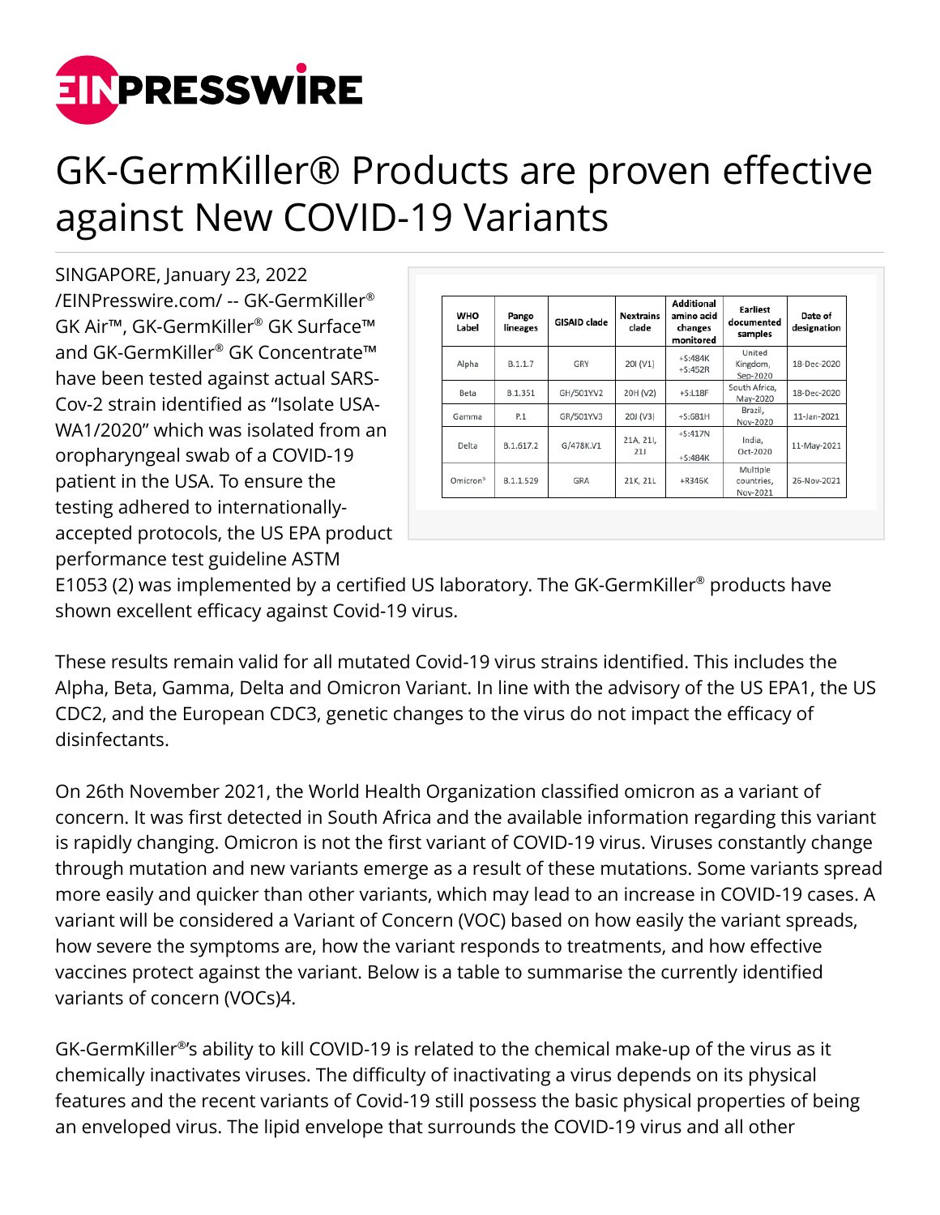

## GK-GermKiller® Products are proven effective against New COVID-19 Variants

SINGAPORE, January 23, 2022 [/EINPresswire.com/](http://www.einpresswire.com) -- GK-GermKiller® GK Air™, GK-GermKiller® GK Surface™ and GK-GermKiller® GK Concentrate™ have been tested against actual SARS-Cov-2 strain identified as "Isolate USA-WA1/2020" which was isolated from an oropharyngeal swab of a COVID-19 patient in the USA. To ensure the testing adhered to internationallyaccepted protocols, the US EPA product performance test guideline ASTM

| <b>WHO</b><br>Label  | Pango<br>lineages | GISAID clade | <b>Nextrains</b><br>clade | <b>Additional</b><br>amino acid<br>changes<br>monitored | <b>Earliest</b><br>documented<br>samples | Date of<br>designation |
|----------------------|-------------------|--------------|---------------------------|---------------------------------------------------------|------------------------------------------|------------------------|
| Alpha                | B.1.1.7           | GRY          | 201 (V1)                  | $+5:484K$<br>$+S:452R$                                  | United<br>Kingdom,<br>Sep-2020           | 18-Dec-2020            |
| Beta                 | B.1.351           | GH/501Y.V2   | 20H (V2)                  | $+S:LI8F$                                               | South Africa.<br>May-2020                | 18-Dec-2020            |
| Gamma                | P.1               | GR/501Y.V3   | 20J (V3)                  | $+5:681H$                                               | Brazil.<br>Nov-2020                      | 11-Jan-2021            |
| Delta                | B.1.617.2         | G/478K.V1    | 21A, 21I,<br>21J          | $+S:417N$<br>$+S:484K$                                  | India,<br>Oct-2020                       | 11-May-2021            |
| Omicron <sup>5</sup> | B.1.1.529         | GRA          | 21K, 21L                  | +R346K                                                  | Multiple<br>countries,<br>Nov-2021       | 26-Nov-2021            |

E1053 (2) was implemented by a certified US laboratory. The GK-GermKiller® products have shown excellent efficacy against Covid-19 virus.

These results remain valid for all mutated Covid-19 virus strains identified. This includes the Alpha, Beta, Gamma, Delta and Omicron Variant. In line with the advisory of the US EPA1, the US CDC2, and the European CDC3, genetic changes to the virus do not impact the efficacy of disinfectants.

On 26th November 2021, the World Health Organization classified omicron as a variant of concern. It was first detected in South Africa and the available information regarding this variant is rapidly changing. Omicron is not the first variant of COVID-19 virus. Viruses constantly change through mutation and new variants emerge as a result of these mutations. Some variants spread more easily and quicker than other variants, which may lead to an increase in COVID-19 cases. A variant will be considered a Variant of Concern (VOC) based on how easily the variant spreads, how severe the symptoms are, how the variant responds to treatments, and how effective vaccines protect against the variant. Below is a table to summarise the currently identified variants of concern (VOCs)4.

GK-GermKiller® 's ability to kill COVID-19 is related to the chemical make-up of the virus as it chemically inactivates viruses. The difficulty of inactivating a virus depends on its physical features and the recent variants of Covid-19 still possess the basic physical properties of being an enveloped virus. The lipid envelope that surrounds the COVID-19 virus and all other